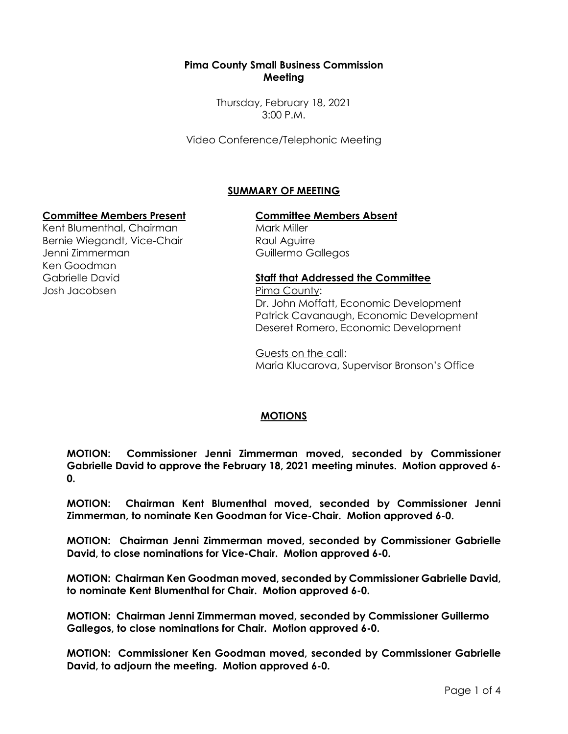## **Pima County Small Business Commission Meeting**

Thursday, February 18, 2021 3:00 P.M.

Video Conference/Telephonic Meeting

# **SUMMARY OF MEETING**

### **Committee Members Present Committee Members Absent**

Kent Blumenthal, Chairman Bernie Wiegandt, Vice-Chair Jenni Zimmerman Ken Goodman Gabrielle David Josh Jacobsen

Mark Miller Raul Aguirre Guillermo Gallegos

#### **Staff that Addressed the Committee**

Pima County: Dr. John Moffatt, Economic Development Patrick Cavanaugh, Economic Development Deseret Romero, Economic Development

Guests on the call: Maria Klucarova, Supervisor Bronson's Office

### **MOTIONS**

**MOTION: Commissioner Jenni Zimmerman moved, seconded by Commissioner Gabrielle David to approve the February 18, 2021 meeting minutes. Motion approved 6- 0.**

**MOTION: Chairman Kent Blumenthal moved, seconded by Commissioner Jenni Zimmerman, to nominate Ken Goodman for Vice-Chair. Motion approved 6-0.**

**MOTION: Chairman Jenni Zimmerman moved, seconded by Commissioner Gabrielle David, to close nominations for Vice-Chair. Motion approved 6-0.**

**MOTION: Chairman Ken Goodman moved, seconded by Commissioner Gabrielle David, to nominate Kent Blumenthal for Chair. Motion approved 6-0.**

**MOTION: Chairman Jenni Zimmerman moved, seconded by Commissioner Guillermo Gallegos, to close nominations for Chair. Motion approved 6-0.**

**MOTION: Commissioner Ken Goodman moved, seconded by Commissioner Gabrielle David, to adjourn the meeting. Motion approved 6-0.**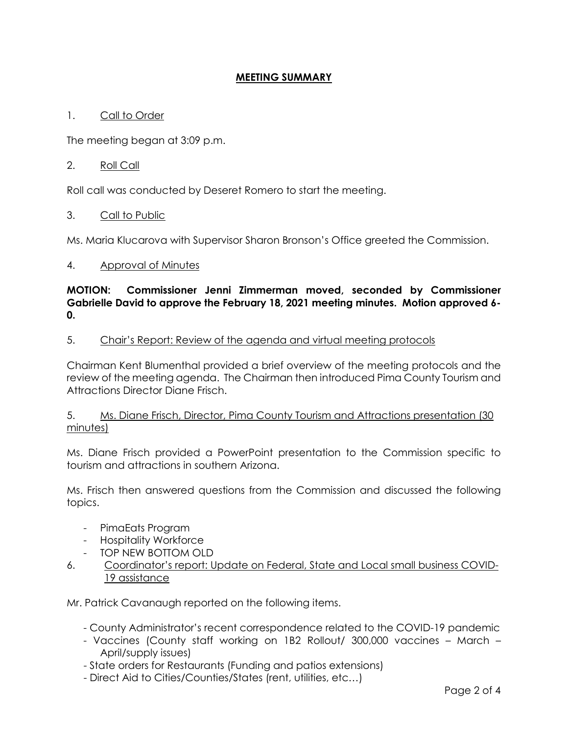## **MEETING SUMMARY**

## 1. Call to Order

The meeting began at 3:09 p.m.

### 2. Roll Call

Roll call was conducted by Deseret Romero to start the meeting.

### 3. Call to Public

Ms. Maria Klucarova with Supervisor Sharon Bronson's Office greeted the Commission.

### 4. Approval of Minutes

**MOTION: Commissioner Jenni Zimmerman moved, seconded by Commissioner Gabrielle David to approve the February 18, 2021 meeting minutes. Motion approved 6- 0.**

#### 5. Chair's Report: Review of the agenda and virtual meeting protocols

Chairman Kent Blumenthal provided a brief overview of the meeting protocols and the review of the meeting agenda. The Chairman then introduced Pima County Tourism and Attractions Director Diane Frisch.

### 5. Ms. Diane Frisch, Director, Pima County Tourism and Attractions presentation (30 minutes)

Ms. Diane Frisch provided a PowerPoint presentation to the Commission specific to tourism and attractions in southern Arizona.

Ms. Frisch then answered questions from the Commission and discussed the following topics.

- PimaEats Program
- Hospitality Workforce
- TOP NEW BOTTOM OLD
- 6. Coordinator's report: Update on Federal, State and Local small business COVID-19 assistance

Mr. Patrick Cavanaugh reported on the following items.

- County Administrator's recent correspondence related to the COVID-19 pandemic
- Vaccines (County staff working on 1B2 Rollout/ 300,000 vaccines March April/supply issues)
- State orders for Restaurants (Funding and patios extensions)
- Direct Aid to Cities/Counties/States (rent, utilities, etc…)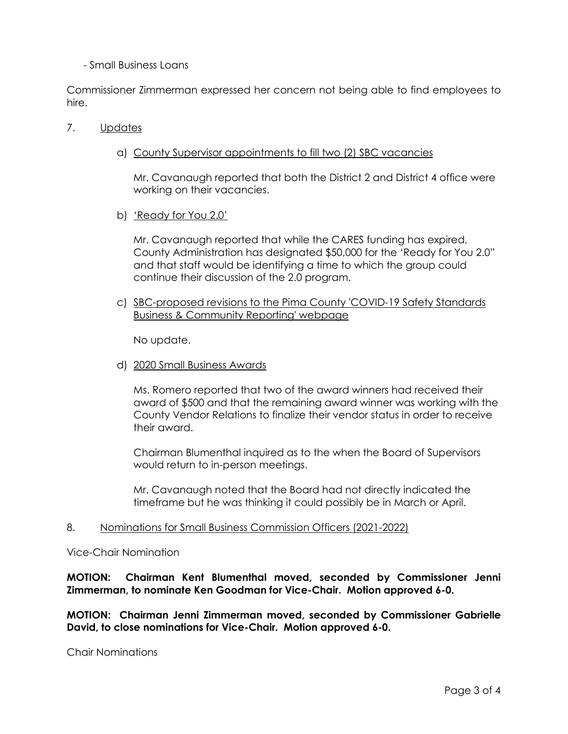### - Small Business Loans

Commissioner Zimmerman expressed her concern not being able to find employees to hire.

#### 7. Updates

a) County Supervisor appointments to fill two (2) SBC vacancies

Mr. Cavanaugh reported that both the District 2 and District 4 office were working on their vacancies.

b) 'Ready for You 2.0'

Mr. Cavanaugh reported that while the CARES funding has expired, County Administration has designated \$50,000 for the 'Ready for You 2.0" and that staff would be identifying a time to which the group could continue their discussion of the 2.0 program.

c) SBC-proposed revisions to the Pima County 'COVID-19 Safety Standards Business & Community Reporting' webpage

No update.

d) 2020 Small Business Awards

Ms. Romero reported that two of the award winners had received their award of \$500 and that the remaining award winner was working with the County Vendor Relations to finalize their vendor status in order to receive their award.

Chairman Blumenthal inquired as to the when the Board of Supervisors would return to in-person meetings.

Mr. Cavanaugh noted that the Board had not directly indicated the timeframe but he was thinking it could possibly be in March or April.

#### 8. Nominations for Small Business Commission Officers (2021-2022)

Vice-Chair Nomination

## **MOTION: Chairman Kent Blumenthal moved, seconded by Commissioner Jenni Zimmerman, to nominate Ken Goodman for Vice-Chair. Motion approved 6-0.**

**MOTION: Chairman Jenni Zimmerman moved, seconded by Commissioner Gabrielle David, to close nominations for Vice-Chair. Motion approved 6-0.**

Chair Nominations